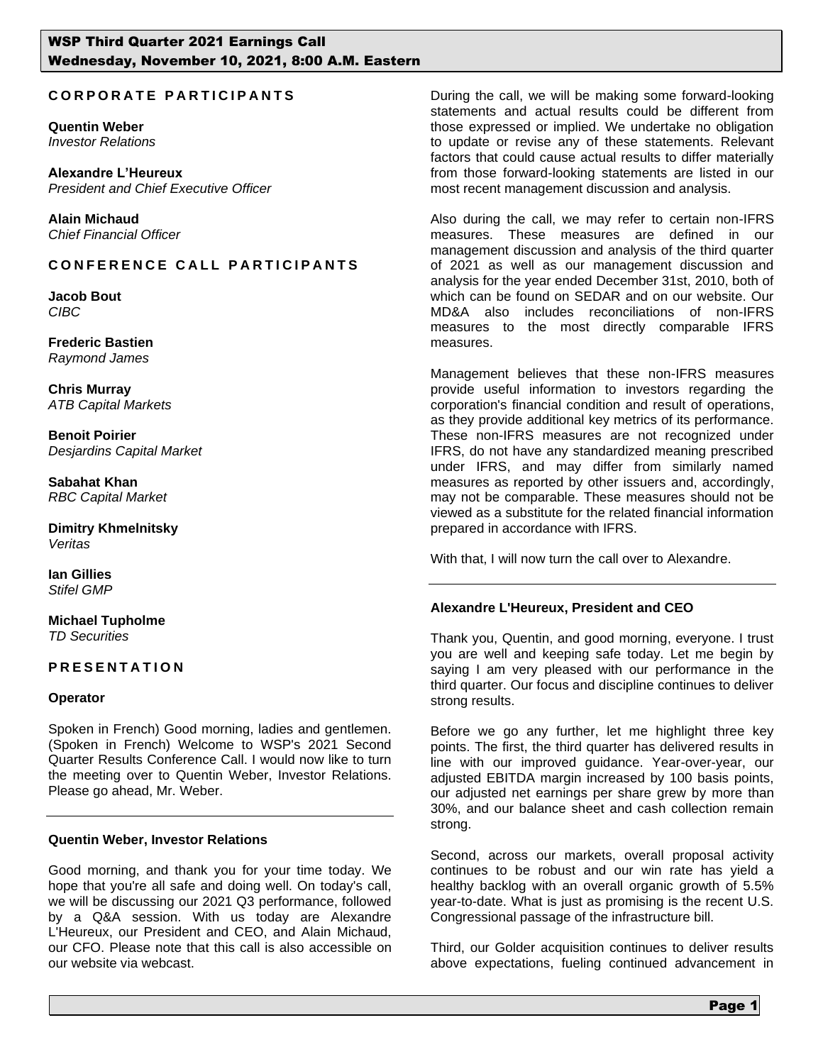## **C O R P O R A T E P A R T I C I P A N T S**

**Quentin Weber**  *Investor Relations*

**Alexandre L'Heureux** *President and Chief Executive Officer*

**Alain Michaud**  *Chief Financial Officer*

# **C O N F E R E N C E C A L L P A R T I C I P A N T S**

**Jacob Bout** *CIBC*

**Frederic Bastien** *Raymond James*

**Chris Murray** *ATB Capital Markets*

**Benoit Poirier** *Desjardins Capital Market*

**Sabahat Khan**  *RBC Capital Market*

**Dimitry Khmelnitsky** *Veritas*

**Ian Gillies** *Stifel GMP*

**Michael Tupholme**  *TD Securities*

## **P R E S E N T A T I O N**

#### **Operator**

Spoken in French) Good morning, ladies and gentlemen. (Spoken in French) Welcome to WSP's 2021 Second Quarter Results Conference Call. I would now like to turn the meeting over to Quentin Weber, Investor Relations. Please go ahead, Mr. Weber.

#### **Quentin Weber, Investor Relations**

Good morning, and thank you for your time today. We hope that you're all safe and doing well. On today's call, we will be discussing our 2021 Q3 performance, followed by a Q&A session. With us today are Alexandre L'Heureux, our President and CEO, and Alain Michaud, our CFO. Please note that this call is also accessible on our website via webcast.

During the call, we will be making some forward-looking statements and actual results could be different from those expressed or implied. We undertake no obligation to update or revise any of these statements. Relevant factors that could cause actual results to differ materially from those forward-looking statements are listed in our most recent management discussion and analysis.

Also during the call, we may refer to certain non-IFRS measures. These measures are defined in our management discussion and analysis of the third quarter of 2021 as well as our management discussion and analysis for the year ended December 31st, 2010, both of which can be found on SEDAR and on our website. Our MD&A also includes reconciliations of non-IFRS measures to the most directly comparable IFRS measures.

Management believes that these non-IFRS measures provide useful information to investors regarding the corporation's financial condition and result of operations, as they provide additional key metrics of its performance. These non-IFRS measures are not recognized under IFRS, do not have any standardized meaning prescribed under IFRS, and may differ from similarly named measures as reported by other issuers and, accordingly, may not be comparable. These measures should not be viewed as a substitute for the related financial information prepared in accordance with IFRS.

With that, I will now turn the call over to Alexandre.

## **Alexandre L'Heureux, President and CEO**

Thank you, Quentin, and good morning, everyone. I trust you are well and keeping safe today. Let me begin by saying I am very pleased with our performance in the third quarter. Our focus and discipline continues to deliver strong results.

Before we go any further, let me highlight three key points. The first, the third quarter has delivered results in line with our improved guidance. Year-over-year, our adjusted EBITDA margin increased by 100 basis points, our adjusted net earnings per share grew by more than 30%, and our balance sheet and cash collection remain strong.

Second, across our markets, overall proposal activity continues to be robust and our win rate has yield a healthy backlog with an overall organic growth of 5.5% year-to-date. What is just as promising is the recent U.S. Congressional passage of the infrastructure bill.

Third, our Golder acquisition continues to deliver results above expectations, fueling continued advancement in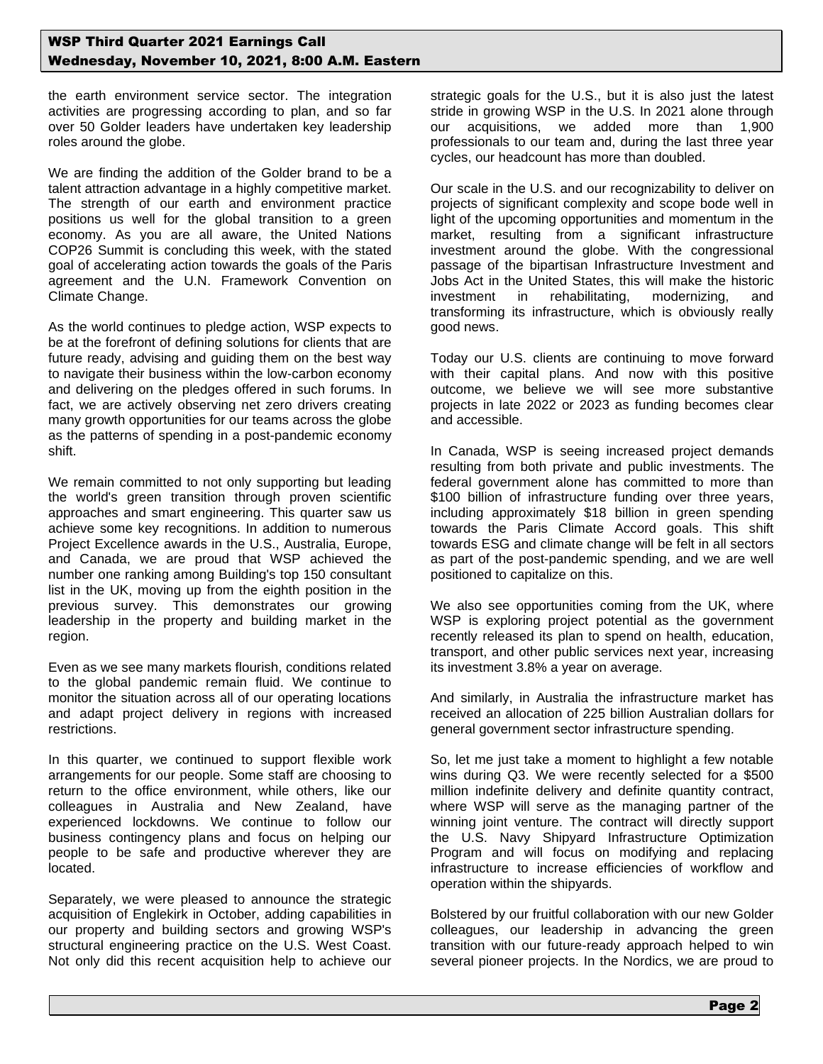the earth environment service sector. The integration activities are progressing according to plan, and so far over 50 Golder leaders have undertaken key leadership roles around the globe.

We are finding the addition of the Golder brand to be a talent attraction advantage in a highly competitive market. The strength of our earth and environment practice positions us well for the global transition to a green economy. As you are all aware, the United Nations COP26 Summit is concluding this week, with the stated goal of accelerating action towards the goals of the Paris agreement and the U.N. Framework Convention on Climate Change.

As the world continues to pledge action, WSP expects to be at the forefront of defining solutions for clients that are future ready, advising and guiding them on the best way to navigate their business within the low-carbon economy and delivering on the pledges offered in such forums. In fact, we are actively observing net zero drivers creating many growth opportunities for our teams across the globe as the patterns of spending in a post-pandemic economy shift.

We remain committed to not only supporting but leading the world's green transition through proven scientific approaches and smart engineering. This quarter saw us achieve some key recognitions. In addition to numerous Project Excellence awards in the U.S., Australia, Europe, and Canada, we are proud that WSP achieved the number one ranking among Building's top 150 consultant list in the UK, moving up from the eighth position in the previous survey. This demonstrates our growing leadership in the property and building market in the region.

Even as we see many markets flourish, conditions related to the global pandemic remain fluid. We continue to monitor the situation across all of our operating locations and adapt project delivery in regions with increased restrictions.

In this quarter, we continued to support flexible work arrangements for our people. Some staff are choosing to return to the office environment, while others, like our colleagues in Australia and New Zealand, have experienced lockdowns. We continue to follow our business contingency plans and focus on helping our people to be safe and productive wherever they are located.

Separately, we were pleased to announce the strategic acquisition of Englekirk in October, adding capabilities in our property and building sectors and growing WSP's structural engineering practice on the U.S. West Coast. Not only did this recent acquisition help to achieve our strategic goals for the U.S., but it is also just the latest stride in growing WSP in the U.S. In 2021 alone through our acquisitions, we added more than 1,900 professionals to our team and, during the last three year cycles, our headcount has more than doubled.

Our scale in the U.S. and our recognizability to deliver on projects of significant complexity and scope bode well in light of the upcoming opportunities and momentum in the market, resulting from a significant infrastructure investment around the globe. With the congressional passage of the bipartisan Infrastructure Investment and Jobs Act in the United States, this will make the historic investment in rehabilitating, modernizing, and transforming its infrastructure, which is obviously really good news.

Today our U.S. clients are continuing to move forward with their capital plans. And now with this positive outcome, we believe we will see more substantive projects in late 2022 or 2023 as funding becomes clear and accessible.

In Canada, WSP is seeing increased project demands resulting from both private and public investments. The federal government alone has committed to more than \$100 billion of infrastructure funding over three years, including approximately \$18 billion in green spending towards the Paris Climate Accord goals. This shift towards ESG and climate change will be felt in all sectors as part of the post-pandemic spending, and we are well positioned to capitalize on this.

We also see opportunities coming from the UK, where WSP is exploring project potential as the government recently released its plan to spend on health, education, transport, and other public services next year, increasing its investment 3.8% a year on average.

And similarly, in Australia the infrastructure market has received an allocation of 225 billion Australian dollars for general government sector infrastructure spending.

So, let me just take a moment to highlight a few notable wins during Q3. We were recently selected for a \$500 million indefinite delivery and definite quantity contract, where WSP will serve as the managing partner of the winning joint venture. The contract will directly support the U.S. Navy Shipyard Infrastructure Optimization Program and will focus on modifying and replacing infrastructure to increase efficiencies of workflow and operation within the shipyards.

Bolstered by our fruitful collaboration with our new Golder colleagues, our leadership in advancing the green transition with our future-ready approach helped to win several pioneer projects. In the Nordics, we are proud to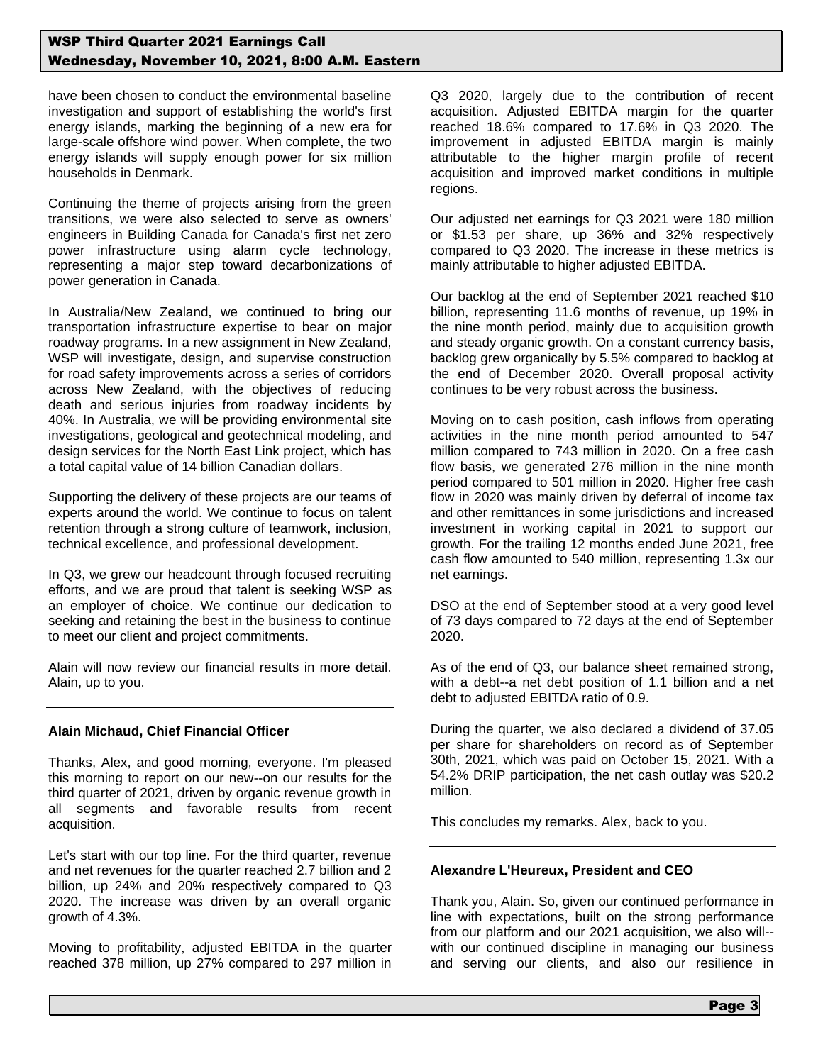have been chosen to conduct the environmental baseline investigation and support of establishing the world's first energy islands, marking the beginning of a new era for large-scale offshore wind power. When complete, the two energy islands will supply enough power for six million households in Denmark.

Continuing the theme of projects arising from the green transitions, we were also selected to serve as owners' engineers in Building Canada for Canada's first net zero power infrastructure using alarm cycle technology, representing a major step toward decarbonizations of power generation in Canada.

In Australia/New Zealand, we continued to bring our transportation infrastructure expertise to bear on major roadway programs. In a new assignment in New Zealand, WSP will investigate, design, and supervise construction for road safety improvements across a series of corridors across New Zealand, with the objectives of reducing death and serious injuries from roadway incidents by 40%. In Australia, we will be providing environmental site investigations, geological and geotechnical modeling, and design services for the North East Link project, which has a total capital value of 14 billion Canadian dollars.

Supporting the delivery of these projects are our teams of experts around the world. We continue to focus on talent retention through a strong culture of teamwork, inclusion, technical excellence, and professional development.

In Q3, we grew our headcount through focused recruiting efforts, and we are proud that talent is seeking WSP as an employer of choice. We continue our dedication to seeking and retaining the best in the business to continue to meet our client and project commitments.

Alain will now review our financial results in more detail. Alain, up to you.

## **Alain Michaud, Chief Financial Officer**

Thanks, Alex, and good morning, everyone. I'm pleased this morning to report on our new--on our results for the third quarter of 2021, driven by organic revenue growth in all segments and favorable results from recent acquisition.

Let's start with our top line. For the third quarter, revenue and net revenues for the quarter reached 2.7 billion and 2 billion, up 24% and 20% respectively compared to Q3 2020. The increase was driven by an overall organic growth of 4.3%.

Moving to profitability, adjusted EBITDA in the quarter reached 378 million, up 27% compared to 297 million in Q3 2020, largely due to the contribution of recent acquisition. Adjusted EBITDA margin for the quarter reached 18.6% compared to 17.6% in Q3 2020. The improvement in adjusted EBITDA margin is mainly attributable to the higher margin profile of recent acquisition and improved market conditions in multiple regions.

Our adjusted net earnings for Q3 2021 were 180 million or \$1.53 per share, up 36% and 32% respectively compared to Q3 2020. The increase in these metrics is mainly attributable to higher adjusted EBITDA.

Our backlog at the end of September 2021 reached \$10 billion, representing 11.6 months of revenue, up 19% in the nine month period, mainly due to acquisition growth and steady organic growth. On a constant currency basis, backlog grew organically by 5.5% compared to backlog at the end of December 2020. Overall proposal activity continues to be very robust across the business.

Moving on to cash position, cash inflows from operating activities in the nine month period amounted to 547 million compared to 743 million in 2020. On a free cash flow basis, we generated 276 million in the nine month period compared to 501 million in 2020. Higher free cash flow in 2020 was mainly driven by deferral of income tax and other remittances in some jurisdictions and increased investment in working capital in 2021 to support our growth. For the trailing 12 months ended June 2021, free cash flow amounted to 540 million, representing 1.3x our net earnings.

DSO at the end of September stood at a very good level of 73 days compared to 72 days at the end of September 2020.

As of the end of Q3, our balance sheet remained strong, with a debt--a net debt position of 1.1 billion and a net debt to adjusted EBITDA ratio of 0.9.

During the quarter, we also declared a dividend of 37.05 per share for shareholders on record as of September 30th, 2021, which was paid on October 15, 2021. With a 54.2% DRIP participation, the net cash outlay was \$20.2 million.

This concludes my remarks. Alex, back to you.

## **Alexandre L'Heureux, President and CEO**

Thank you, Alain. So, given our continued performance in line with expectations, built on the strong performance from our platform and our 2021 acquisition, we also will- with our continued discipline in managing our business and serving our clients, and also our resilience in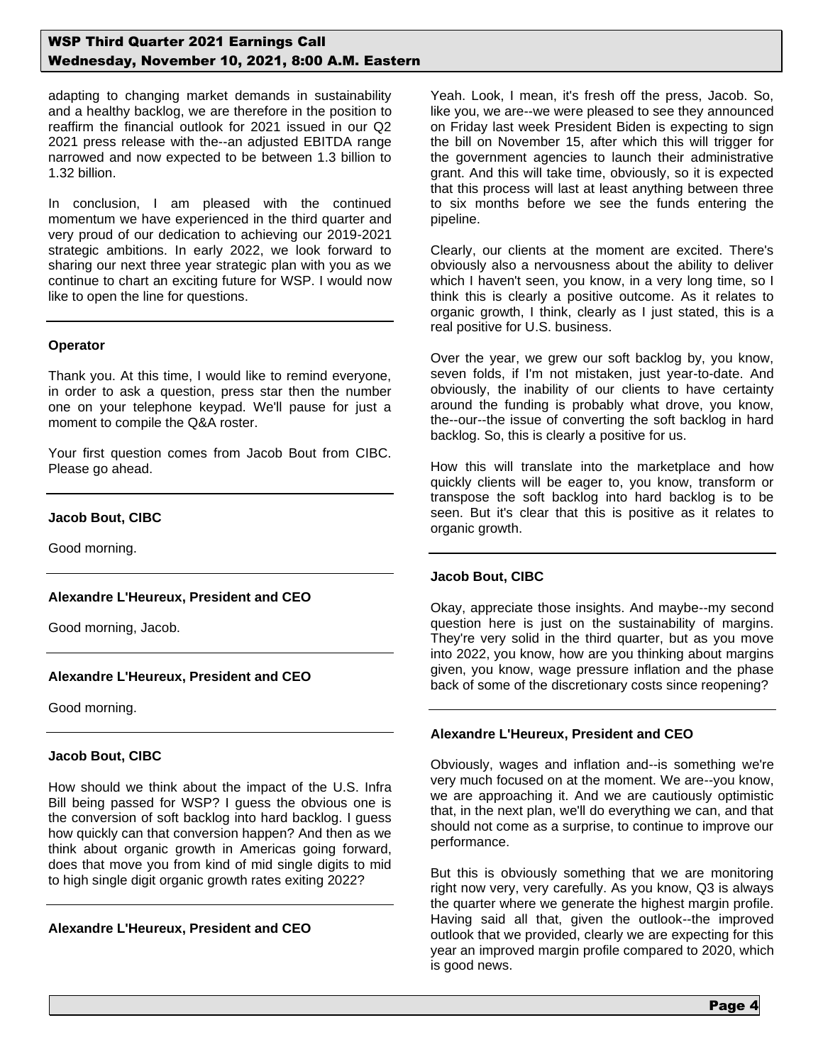adapting to changing market demands in sustainability and a healthy backlog, we are therefore in the position to reaffirm the financial outlook for 2021 issued in our Q2 2021 press release with the--an adjusted EBITDA range narrowed and now expected to be between 1.3 billion to 1.32 billion.

In conclusion, I am pleased with the continued momentum we have experienced in the third quarter and very proud of our dedication to achieving our 2019-2021 strategic ambitions. In early 2022, we look forward to sharing our next three year strategic plan with you as we continue to chart an exciting future for WSP. I would now like to open the line for questions.

#### **Operator**

Thank you. At this time, I would like to remind everyone, in order to ask a question, press star then the number one on your telephone keypad. We'll pause for just a moment to compile the Q&A roster.

Your first question comes from Jacob Bout from CIBC. Please go ahead.

#### **Jacob Bout, CIBC**

Good morning.

#### **Alexandre L'Heureux, President and CEO**

Good morning, Jacob.

## **Alexandre L'Heureux, President and CEO**

Good morning.

#### **Jacob Bout, CIBC**

How should we think about the impact of the U.S. Infra Bill being passed for WSP? I guess the obvious one is the conversion of soft backlog into hard backlog. I guess how quickly can that conversion happen? And then as we think about organic growth in Americas going forward, does that move you from kind of mid single digits to mid to high single digit organic growth rates exiting 2022?

#### **Alexandre L'Heureux, President and CEO**

Yeah. Look, I mean, it's fresh off the press, Jacob. So, like you, we are--we were pleased to see they announced on Friday last week President Biden is expecting to sign the bill on November 15, after which this will trigger for the government agencies to launch their administrative grant. And this will take time, obviously, so it is expected that this process will last at least anything between three to six months before we see the funds entering the pipeline.

Clearly, our clients at the moment are excited. There's obviously also a nervousness about the ability to deliver which I haven't seen, you know, in a very long time, so I think this is clearly a positive outcome. As it relates to organic growth, I think, clearly as I just stated, this is a real positive for U.S. business.

Over the year, we grew our soft backlog by, you know, seven folds, if I'm not mistaken, just year-to-date. And obviously, the inability of our clients to have certainty around the funding is probably what drove, you know, the--our--the issue of converting the soft backlog in hard backlog. So, this is clearly a positive for us.

How this will translate into the marketplace and how quickly clients will be eager to, you know, transform or transpose the soft backlog into hard backlog is to be seen. But it's clear that this is positive as it relates to organic growth.

#### **Jacob Bout, CIBC**

Okay, appreciate those insights. And maybe--my second question here is just on the sustainability of margins. They're very solid in the third quarter, but as you move into 2022, you know, how are you thinking about margins given, you know, wage pressure inflation and the phase back of some of the discretionary costs since reopening?

#### **Alexandre L'Heureux, President and CEO**

Obviously, wages and inflation and--is something we're very much focused on at the moment. We are--you know, we are approaching it. And we are cautiously optimistic that, in the next plan, we'll do everything we can, and that should not come as a surprise, to continue to improve our performance.

But this is obviously something that we are monitoring right now very, very carefully. As you know, Q3 is always the quarter where we generate the highest margin profile. Having said all that, given the outlook--the improved outlook that we provided, clearly we are expecting for this year an improved margin profile compared to 2020, which is good news.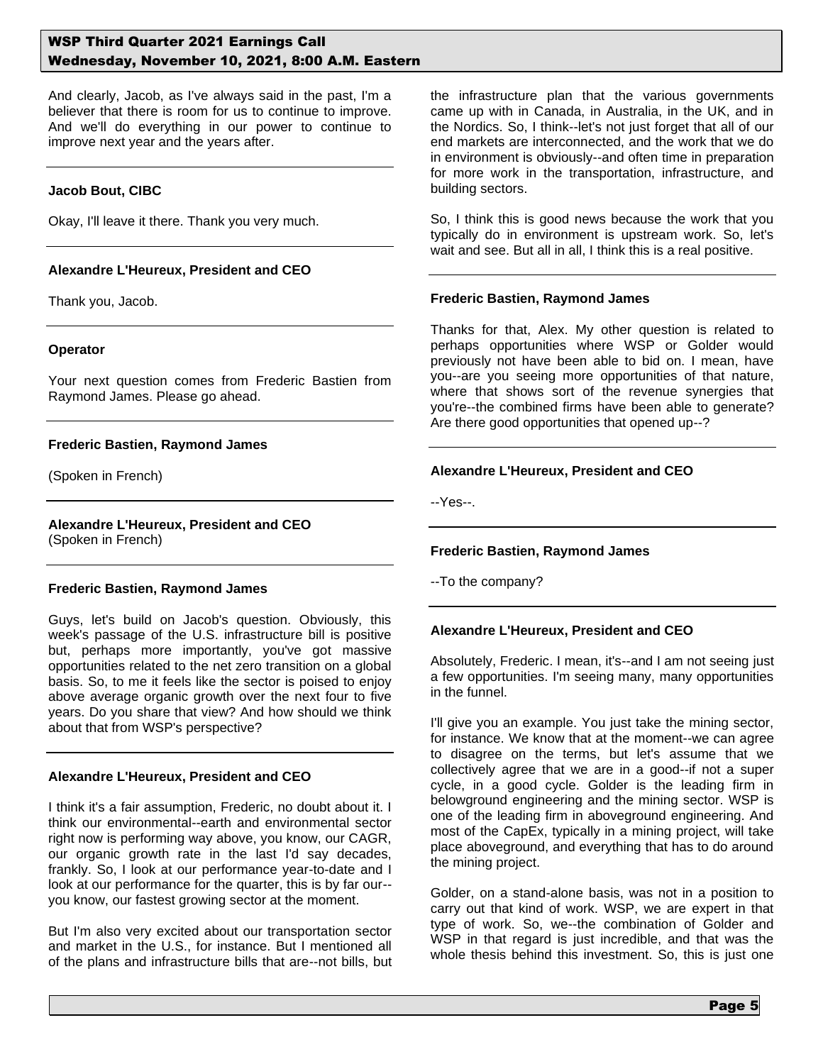And clearly, Jacob, as I've always said in the past, I'm a believer that there is room for us to continue to improve. And we'll do everything in our power to continue to improve next year and the years after.

#### **Jacob Bout, CIBC**

Okay, I'll leave it there. Thank you very much.

## **Alexandre L'Heureux, President and CEO**

Thank you, Jacob.

#### **Operator**

Your next question comes from Frederic Bastien from Raymond James. Please go ahead.

#### **Frederic Bastien, Raymond James**

(Spoken in French)

# **Alexandre L'Heureux, President and CEO**

(Spoken in French)

#### **Frederic Bastien, Raymond James**

Guys, let's build on Jacob's question. Obviously, this week's passage of the U.S. infrastructure bill is positive but, perhaps more importantly, you've got massive opportunities related to the net zero transition on a global basis. So, to me it feels like the sector is poised to enjoy above average organic growth over the next four to five years. Do you share that view? And how should we think about that from WSP's perspective?

## **Alexandre L'Heureux, President and CEO**

I think it's a fair assumption, Frederic, no doubt about it. I think our environmental--earth and environmental sector right now is performing way above, you know, our CAGR, our organic growth rate in the last I'd say decades, frankly. So, I look at our performance year-to-date and I look at our performance for the quarter, this is by far our- you know, our fastest growing sector at the moment.

But I'm also very excited about our transportation sector and market in the U.S., for instance. But I mentioned all of the plans and infrastructure bills that are--not bills, but the infrastructure plan that the various governments came up with in Canada, in Australia, in the UK, and in the Nordics. So, I think--let's not just forget that all of our end markets are interconnected, and the work that we do in environment is obviously--and often time in preparation for more work in the transportation, infrastructure, and building sectors.

So, I think this is good news because the work that you typically do in environment is upstream work. So, let's wait and see. But all in all, I think this is a real positive.

#### **Frederic Bastien, Raymond James**

Thanks for that, Alex. My other question is related to perhaps opportunities where WSP or Golder would previously not have been able to bid on. I mean, have you--are you seeing more opportunities of that nature, where that shows sort of the revenue synergies that you're--the combined firms have been able to generate? Are there good opportunities that opened up--?

## **Alexandre L'Heureux, President and CEO**

--Yes--.

## **Frederic Bastien, Raymond James**

--To the company?

## **Alexandre L'Heureux, President and CEO**

Absolutely, Frederic. I mean, it's--and I am not seeing just a few opportunities. I'm seeing many, many opportunities in the funnel.

I'll give you an example. You just take the mining sector, for instance. We know that at the moment--we can agree to disagree on the terms, but let's assume that we collectively agree that we are in a good--if not a super cycle, in a good cycle. Golder is the leading firm in belowground engineering and the mining sector. WSP is one of the leading firm in aboveground engineering. And most of the CapEx, typically in a mining project, will take place aboveground, and everything that has to do around the mining project.

Golder, on a stand-alone basis, was not in a position to carry out that kind of work. WSP, we are expert in that type of work. So, we--the combination of Golder and WSP in that regard is just incredible, and that was the whole thesis behind this investment. So, this is just one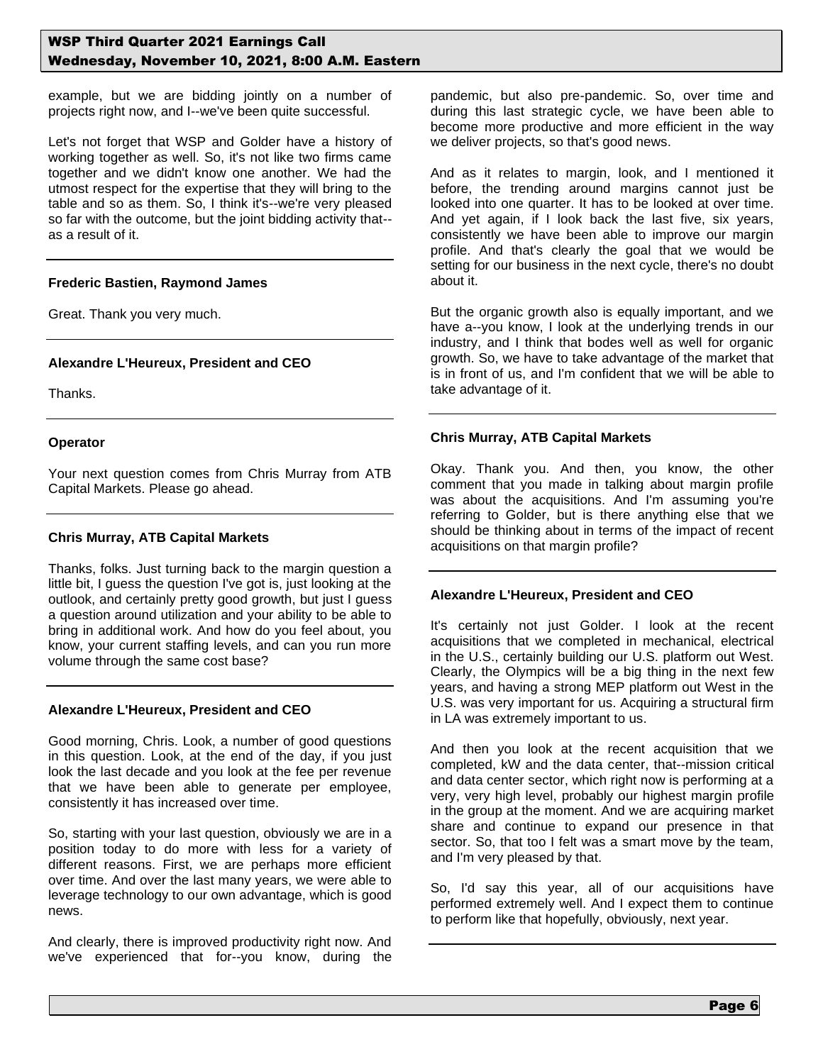example, but we are bidding jointly on a number of projects right now, and I--we've been quite successful.

Let's not forget that WSP and Golder have a history of working together as well. So, it's not like two firms came together and we didn't know one another. We had the utmost respect for the expertise that they will bring to the table and so as them. So, I think it's--we're very pleased so far with the outcome, but the joint bidding activity that- as a result of it.

## **Frederic Bastien, Raymond James**

Great. Thank you very much.

## **Alexandre L'Heureux, President and CEO**

Thanks.

#### **Operator**

Your next question comes from Chris Murray from ATB Capital Markets. Please go ahead.

## **Chris Murray, ATB Capital Markets**

Thanks, folks. Just turning back to the margin question a little bit, I guess the question I've got is, just looking at the outlook, and certainly pretty good growth, but just I guess a question around utilization and your ability to be able to bring in additional work. And how do you feel about, you know, your current staffing levels, and can you run more volume through the same cost base?

## **Alexandre L'Heureux, President and CEO**

Good morning, Chris. Look, a number of good questions in this question. Look, at the end of the day, if you just look the last decade and you look at the fee per revenue that we have been able to generate per employee, consistently it has increased over time.

So, starting with your last question, obviously we are in a position today to do more with less for a variety of different reasons. First, we are perhaps more efficient over time. And over the last many years, we were able to leverage technology to our own advantage, which is good news.

And clearly, there is improved productivity right now. And we've experienced that for--you know, during the pandemic, but also pre-pandemic. So, over time and during this last strategic cycle, we have been able to become more productive and more efficient in the way we deliver projects, so that's good news.

And as it relates to margin, look, and I mentioned it before, the trending around margins cannot just be looked into one quarter. It has to be looked at over time. And yet again, if I look back the last five, six years, consistently we have been able to improve our margin profile. And that's clearly the goal that we would be setting for our business in the next cycle, there's no doubt about it.

But the organic growth also is equally important, and we have a--you know, I look at the underlying trends in our industry, and I think that bodes well as well for organic growth. So, we have to take advantage of the market that is in front of us, and I'm confident that we will be able to take advantage of it.

#### **Chris Murray, ATB Capital Markets**

Okay. Thank you. And then, you know, the other comment that you made in talking about margin profile was about the acquisitions. And I'm assuming you're referring to Golder, but is there anything else that we should be thinking about in terms of the impact of recent acquisitions on that margin profile?

## **Alexandre L'Heureux, President and CEO**

It's certainly not just Golder. I look at the recent acquisitions that we completed in mechanical, electrical in the U.S., certainly building our U.S. platform out West. Clearly, the Olympics will be a big thing in the next few years, and having a strong MEP platform out West in the U.S. was very important for us. Acquiring a structural firm in LA was extremely important to us.

And then you look at the recent acquisition that we completed, kW and the data center, that--mission critical and data center sector, which right now is performing at a very, very high level, probably our highest margin profile in the group at the moment. And we are acquiring market share and continue to expand our presence in that sector. So, that too I felt was a smart move by the team, and I'm very pleased by that.

So, I'd say this year, all of our acquisitions have performed extremely well. And I expect them to continue to perform like that hopefully, obviously, next year.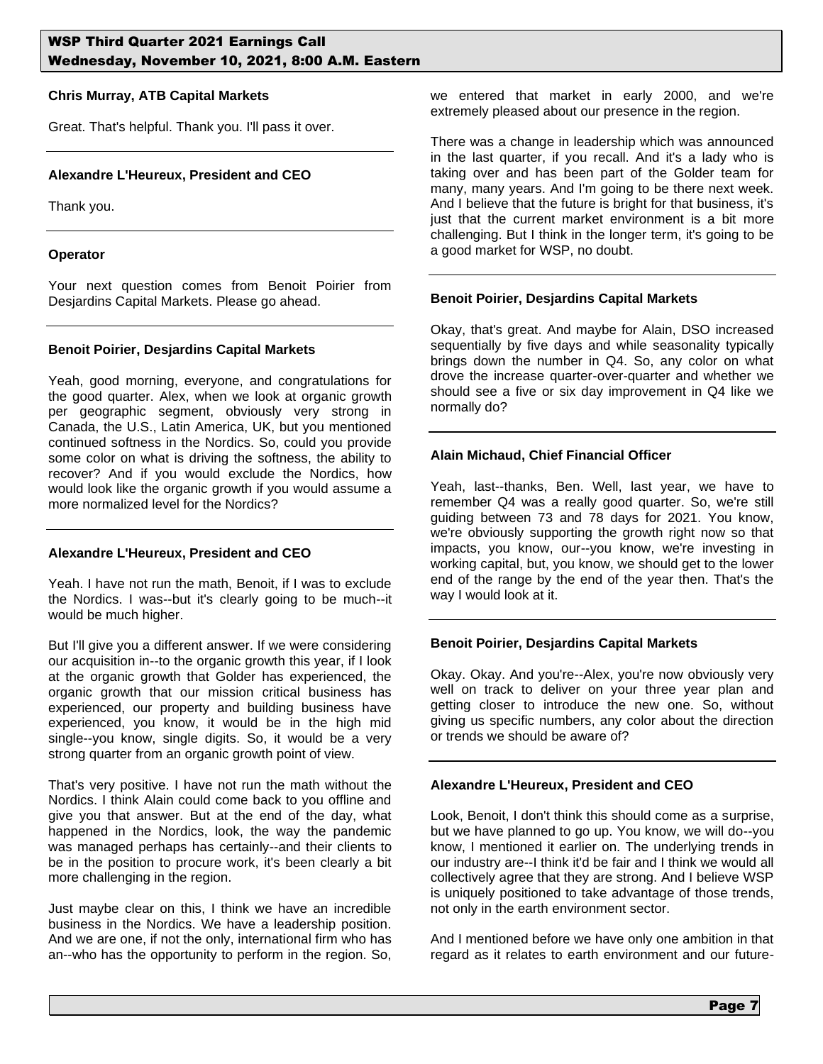## **Chris Murray, ATB Capital Markets**

Great. That's helpful. Thank you. I'll pass it over.

## **Alexandre L'Heureux, President and CEO**

Thank you.

#### **Operator**

Your next question comes from Benoit Poirier from Desjardins Capital Markets. Please go ahead.

#### **Benoit Poirier, Desjardins Capital Markets**

Yeah, good morning, everyone, and congratulations for the good quarter. Alex, when we look at organic growth per geographic segment, obviously very strong in Canada, the U.S., Latin America, UK, but you mentioned continued softness in the Nordics. So, could you provide some color on what is driving the softness, the ability to recover? And if you would exclude the Nordics, how would look like the organic growth if you would assume a more normalized level for the Nordics?

#### **Alexandre L'Heureux, President and CEO**

Yeah. I have not run the math, Benoit, if I was to exclude the Nordics. I was--but it's clearly going to be much--it would be much higher.

But I'll give you a different answer. If we were considering our acquisition in--to the organic growth this year, if I look at the organic growth that Golder has experienced, the organic growth that our mission critical business has experienced, our property and building business have experienced, you know, it would be in the high mid single--you know, single digits. So, it would be a very strong quarter from an organic growth point of view.

That's very positive. I have not run the math without the Nordics. I think Alain could come back to you offline and give you that answer. But at the end of the day, what happened in the Nordics, look, the way the pandemic was managed perhaps has certainly--and their clients to be in the position to procure work, it's been clearly a bit more challenging in the region.

Just maybe clear on this, I think we have an incredible business in the Nordics. We have a leadership position. And we are one, if not the only, international firm who has an--who has the opportunity to perform in the region. So, we entered that market in early 2000, and we're extremely pleased about our presence in the region.

There was a change in leadership which was announced in the last quarter, if you recall. And it's a lady who is taking over and has been part of the Golder team for many, many years. And I'm going to be there next week. And I believe that the future is bright for that business, it's just that the current market environment is a bit more challenging. But I think in the longer term, it's going to be a good market for WSP, no doubt.

# **Benoit Poirier, Desjardins Capital Markets**

Okay, that's great. And maybe for Alain, DSO increased sequentially by five days and while seasonality typically brings down the number in Q4. So, any color on what drove the increase quarter-over-quarter and whether we should see a five or six day improvement in Q4 like we normally do?

# **Alain Michaud, Chief Financial Officer**

Yeah, last--thanks, Ben. Well, last year, we have to remember Q4 was a really good quarter. So, we're still guiding between 73 and 78 days for 2021. You know, we're obviously supporting the growth right now so that impacts, you know, our--you know, we're investing in working capital, but, you know, we should get to the lower end of the range by the end of the year then. That's the way I would look at it.

# **Benoit Poirier, Desjardins Capital Markets**

Okay. Okay. And you're--Alex, you're now obviously very well on track to deliver on your three year plan and getting closer to introduce the new one. So, without giving us specific numbers, any color about the direction or trends we should be aware of?

# **Alexandre L'Heureux, President and CEO**

Look, Benoit, I don't think this should come as a surprise, but we have planned to go up. You know, we will do--you know, I mentioned it earlier on. The underlying trends in our industry are--I think it'd be fair and I think we would all collectively agree that they are strong. And I believe WSP is uniquely positioned to take advantage of those trends, not only in the earth environment sector.

And I mentioned before we have only one ambition in that regard as it relates to earth environment and our future-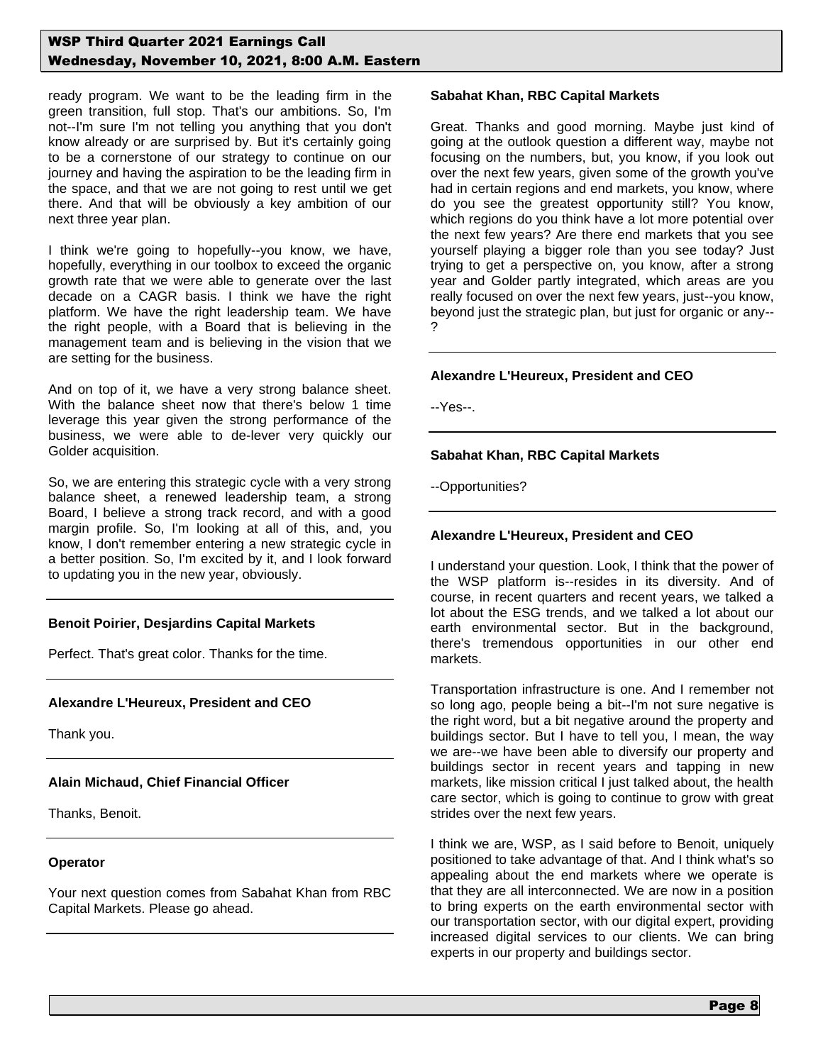ready program. We want to be the leading firm in the green transition, full stop. That's our ambitions. So, I'm not--I'm sure I'm not telling you anything that you don't know already or are surprised by. But it's certainly going to be a cornerstone of our strategy to continue on our journey and having the aspiration to be the leading firm in the space, and that we are not going to rest until we get there. And that will be obviously a key ambition of our next three year plan.

I think we're going to hopefully--you know, we have, hopefully, everything in our toolbox to exceed the organic growth rate that we were able to generate over the last decade on a CAGR basis. I think we have the right platform. We have the right leadership team. We have the right people, with a Board that is believing in the management team and is believing in the vision that we are setting for the business.

And on top of it, we have a very strong balance sheet. With the balance sheet now that there's below 1 time leverage this year given the strong performance of the business, we were able to de-lever very quickly our Golder acquisition.

So, we are entering this strategic cycle with a very strong balance sheet, a renewed leadership team, a strong Board, I believe a strong track record, and with a good margin profile. So, I'm looking at all of this, and, you know, I don't remember entering a new strategic cycle in a better position. So, I'm excited by it, and I look forward to updating you in the new year, obviously.

## **Benoit Poirier, Desjardins Capital Markets**

Perfect. That's great color. Thanks for the time.

## **Alexandre L'Heureux, President and CEO**

Thank you.

## **Alain Michaud, Chief Financial Officer**

Thanks, Benoit.

#### **Operator**

Your next question comes from Sabahat Khan from RBC Capital Markets. Please go ahead.

#### **Sabahat Khan, RBC Capital Markets**

Great. Thanks and good morning. Maybe just kind of going at the outlook question a different way, maybe not focusing on the numbers, but, you know, if you look out over the next few years, given some of the growth you've had in certain regions and end markets, you know, where do you see the greatest opportunity still? You know, which regions do you think have a lot more potential over the next few years? Are there end markets that you see yourself playing a bigger role than you see today? Just trying to get a perspective on, you know, after a strong year and Golder partly integrated, which areas are you really focused on over the next few years, just--you know, beyond just the strategic plan, but just for organic or any-- ?

#### **Alexandre L'Heureux, President and CEO**

--Yes--.

#### **Sabahat Khan, RBC Capital Markets**

--Opportunities?

## **Alexandre L'Heureux, President and CEO**

I understand your question. Look, I think that the power of the WSP platform is--resides in its diversity. And of course, in recent quarters and recent years, we talked a lot about the ESG trends, and we talked a lot about our earth environmental sector. But in the background, there's tremendous opportunities in our other end markets.

Transportation infrastructure is one. And I remember not so long ago, people being a bit--I'm not sure negative is the right word, but a bit negative around the property and buildings sector. But I have to tell you, I mean, the way we are--we have been able to diversify our property and buildings sector in recent years and tapping in new markets, like mission critical I just talked about, the health care sector, which is going to continue to grow with great strides over the next few years.

I think we are, WSP, as I said before to Benoit, uniquely positioned to take advantage of that. And I think what's so appealing about the end markets where we operate is that they are all interconnected. We are now in a position to bring experts on the earth environmental sector with our transportation sector, with our digital expert, providing increased digital services to our clients. We can bring experts in our property and buildings sector.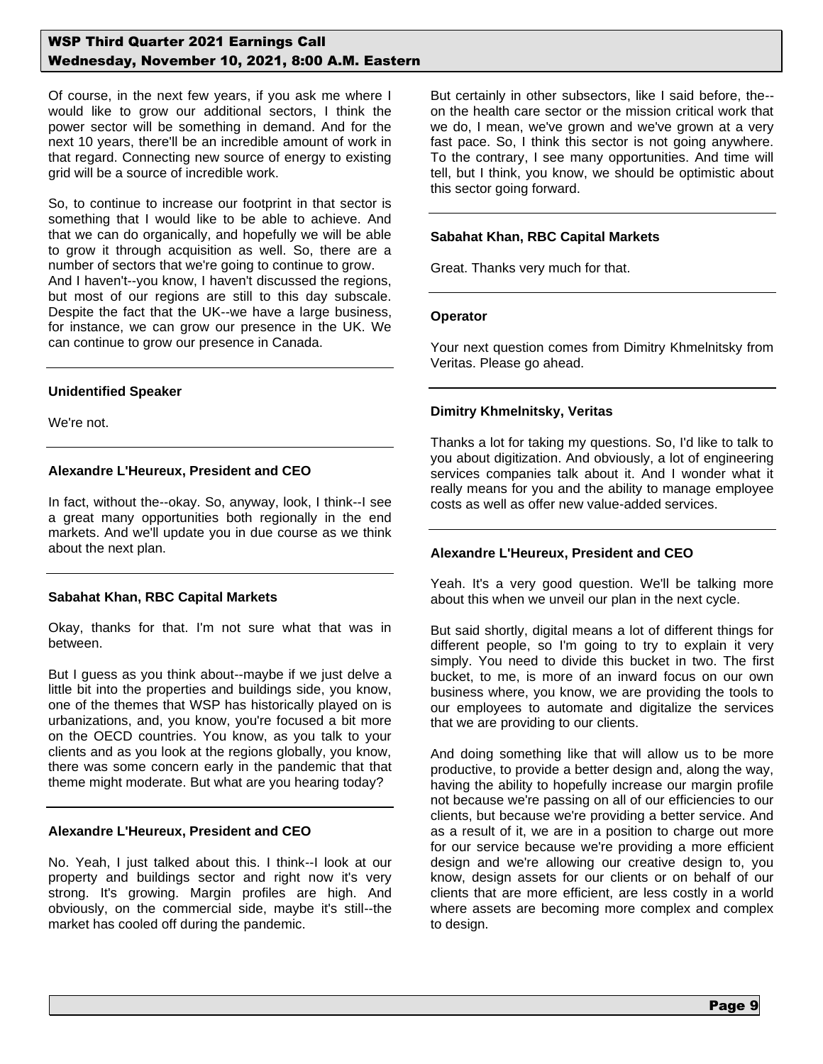Of course, in the next few years, if you ask me where I would like to grow our additional sectors, I think the power sector will be something in demand. And for the next 10 years, there'll be an incredible amount of work in that regard. Connecting new source of energy to existing grid will be a source of incredible work.

So, to continue to increase our footprint in that sector is something that I would like to be able to achieve. And that we can do organically, and hopefully we will be able to grow it through acquisition as well. So, there are a number of sectors that we're going to continue to grow. And I haven't--you know, I haven't discussed the regions, but most of our regions are still to this day subscale. Despite the fact that the UK--we have a large business, for instance, we can grow our presence in the UK. We can continue to grow our presence in Canada.

#### **Unidentified Speaker**

We're not.

#### **Alexandre L'Heureux, President and CEO**

In fact, without the--okay. So, anyway, look, I think--I see a great many opportunities both regionally in the end markets. And we'll update you in due course as we think about the next plan.

#### **Sabahat Khan, RBC Capital Markets**

Okay, thanks for that. I'm not sure what that was in between.

But I guess as you think about--maybe if we just delve a little bit into the properties and buildings side, you know, one of the themes that WSP has historically played on is urbanizations, and, you know, you're focused a bit more on the OECD countries. You know, as you talk to your clients and as you look at the regions globally, you know, there was some concern early in the pandemic that that theme might moderate. But what are you hearing today?

#### **Alexandre L'Heureux, President and CEO**

No. Yeah, I just talked about this. I think--I look at our property and buildings sector and right now it's very strong. It's growing. Margin profiles are high. And obviously, on the commercial side, maybe it's still--the market has cooled off during the pandemic.

But certainly in other subsectors, like I said before, the- on the health care sector or the mission critical work that we do, I mean, we've grown and we've grown at a very fast pace. So, I think this sector is not going anywhere. To the contrary, I see many opportunities. And time will tell, but I think, you know, we should be optimistic about this sector going forward.

#### **Sabahat Khan, RBC Capital Markets**

Great. Thanks very much for that.

#### **Operator**

Your next question comes from Dimitry Khmelnitsky from Veritas. Please go ahead.

#### **Dimitry Khmelnitsky, Veritas**

Thanks a lot for taking my questions. So, I'd like to talk to you about digitization. And obviously, a lot of engineering services companies talk about it. And I wonder what it really means for you and the ability to manage employee costs as well as offer new value-added services.

#### **Alexandre L'Heureux, President and CEO**

Yeah. It's a very good question. We'll be talking more about this when we unveil our plan in the next cycle.

But said shortly, digital means a lot of different things for different people, so I'm going to try to explain it very simply. You need to divide this bucket in two. The first bucket, to me, is more of an inward focus on our own business where, you know, we are providing the tools to our employees to automate and digitalize the services that we are providing to our clients.

And doing something like that will allow us to be more productive, to provide a better design and, along the way, having the ability to hopefully increase our margin profile not because we're passing on all of our efficiencies to our clients, but because we're providing a better service. And as a result of it, we are in a position to charge out more for our service because we're providing a more efficient design and we're allowing our creative design to, you know, design assets for our clients or on behalf of our clients that are more efficient, are less costly in a world where assets are becoming more complex and complex to design.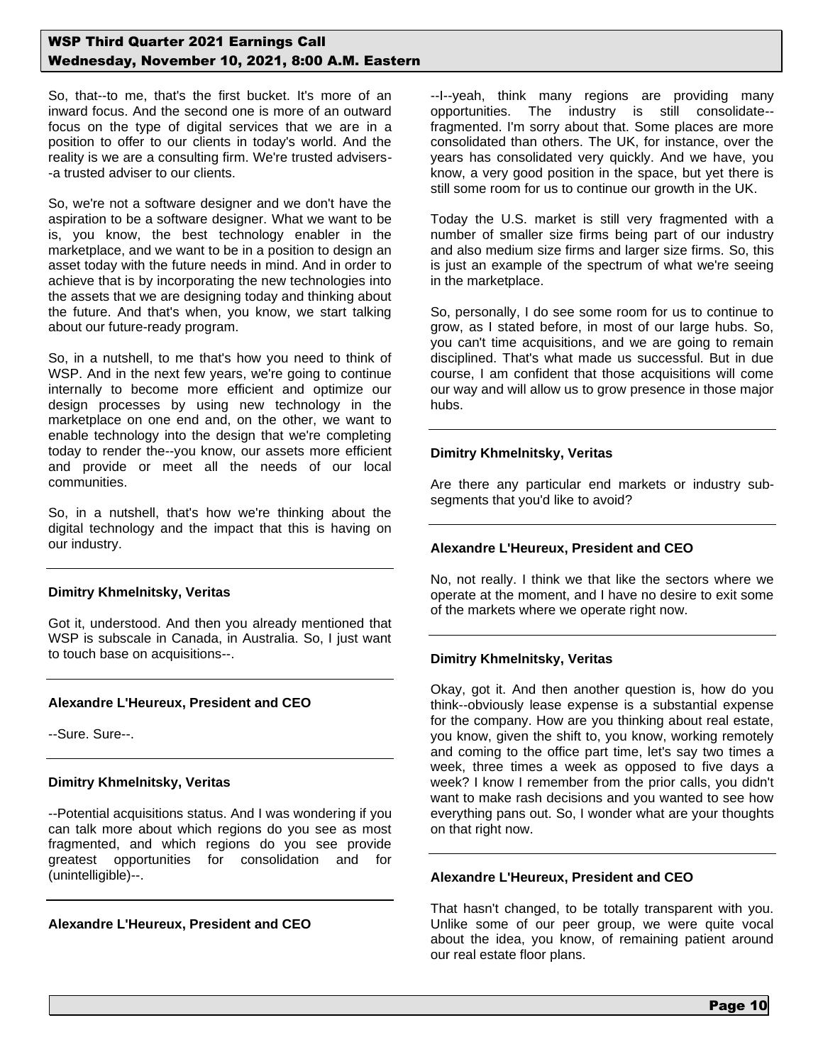So, that--to me, that's the first bucket. It's more of an inward focus. And the second one is more of an outward focus on the type of digital services that we are in a position to offer to our clients in today's world. And the reality is we are a consulting firm. We're trusted advisers- -a trusted adviser to our clients.

So, we're not a software designer and we don't have the aspiration to be a software designer. What we want to be is, you know, the best technology enabler in the marketplace, and we want to be in a position to design an asset today with the future needs in mind. And in order to achieve that is by incorporating the new technologies into the assets that we are designing today and thinking about the future. And that's when, you know, we start talking about our future-ready program.

So, in a nutshell, to me that's how you need to think of WSP. And in the next few years, we're going to continue internally to become more efficient and optimize our design processes by using new technology in the marketplace on one end and, on the other, we want to enable technology into the design that we're completing today to render the--you know, our assets more efficient and provide or meet all the needs of our local communities.

So, in a nutshell, that's how we're thinking about the digital technology and the impact that this is having on our industry.

#### **Dimitry Khmelnitsky, Veritas**

Got it, understood. And then you already mentioned that WSP is subscale in Canada, in Australia. So, I just want to touch base on acquisitions--.

## **Alexandre L'Heureux, President and CEO**

--Sure. Sure--.

#### **Dimitry Khmelnitsky, Veritas**

--Potential acquisitions status. And I was wondering if you can talk more about which regions do you see as most fragmented, and which regions do you see provide greatest opportunities for consolidation and for (unintelligible)--.

## **Alexandre L'Heureux, President and CEO**

--I--yeah, think many regions are providing many opportunities. The industry is still consolidate- fragmented. I'm sorry about that. Some places are more consolidated than others. The UK, for instance, over the years has consolidated very quickly. And we have, you know, a very good position in the space, but yet there is still some room for us to continue our growth in the UK.

Today the U.S. market is still very fragmented with a number of smaller size firms being part of our industry and also medium size firms and larger size firms. So, this is just an example of the spectrum of what we're seeing in the marketplace.

So, personally, I do see some room for us to continue to grow, as I stated before, in most of our large hubs. So, you can't time acquisitions, and we are going to remain disciplined. That's what made us successful. But in due course, I am confident that those acquisitions will come our way and will allow us to grow presence in those major hubs.

#### **Dimitry Khmelnitsky, Veritas**

Are there any particular end markets or industry subsegments that you'd like to avoid?

#### **Alexandre L'Heureux, President and CEO**

No, not really. I think we that like the sectors where we operate at the moment, and I have no desire to exit some of the markets where we operate right now.

## **Dimitry Khmelnitsky, Veritas**

Okay, got it. And then another question is, how do you think--obviously lease expense is a substantial expense for the company. How are you thinking about real estate, you know, given the shift to, you know, working remotely and coming to the office part time, let's say two times a week, three times a week as opposed to five days a week? I know I remember from the prior calls, you didn't want to make rash decisions and you wanted to see how everything pans out. So, I wonder what are your thoughts on that right now.

#### **Alexandre L'Heureux, President and CEO**

That hasn't changed, to be totally transparent with you. Unlike some of our peer group, we were quite vocal about the idea, you know, of remaining patient around our real estate floor plans.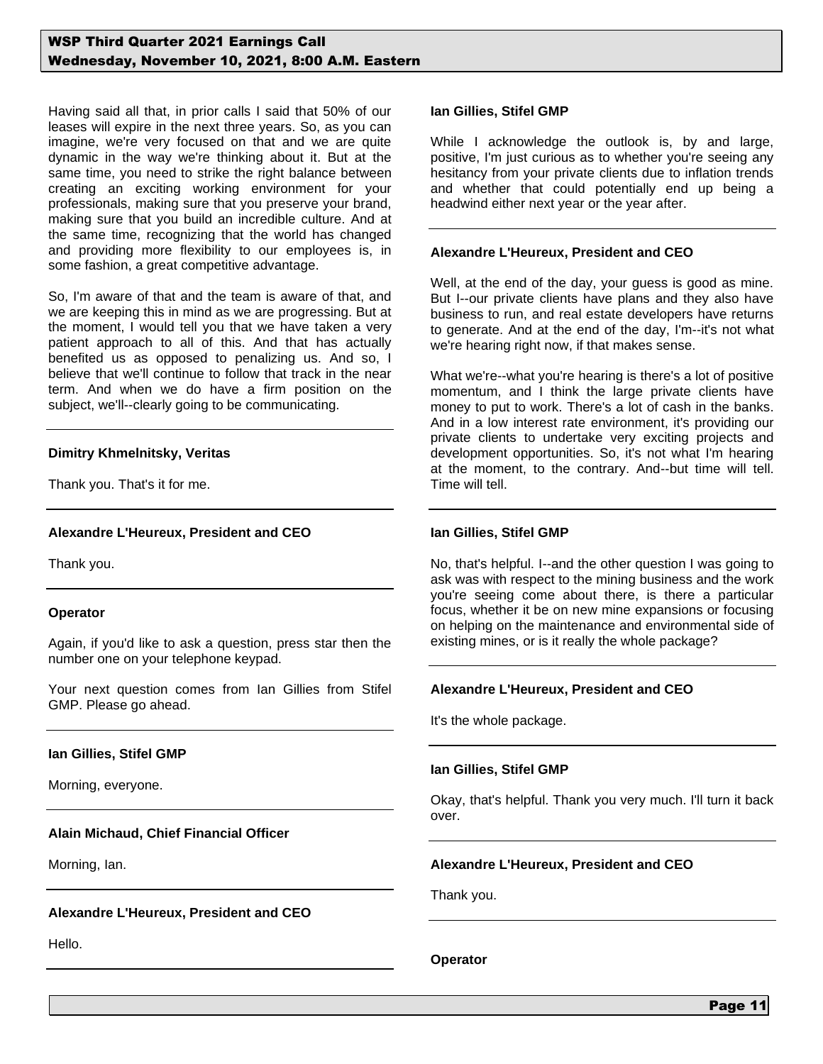Having said all that, in prior calls I said that 50% of our leases will expire in the next three years. So, as you can imagine, we're very focused on that and we are quite dynamic in the way we're thinking about it. But at the same time, you need to strike the right balance between creating an exciting working environment for your professionals, making sure that you preserve your brand, making sure that you build an incredible culture. And at the same time, recognizing that the world has changed and providing more flexibility to our employees is, in some fashion, a great competitive advantage.

So, I'm aware of that and the team is aware of that, and we are keeping this in mind as we are progressing. But at the moment, I would tell you that we have taken a very patient approach to all of this. And that has actually benefited us as opposed to penalizing us. And so, I believe that we'll continue to follow that track in the near term. And when we do have a firm position on the subject, we'll--clearly going to be communicating.

#### **Dimitry Khmelnitsky, Veritas**

Thank you. That's it for me.

## **Alexandre L'Heureux, President and CEO**

Thank you.

#### **Operator**

Again, if you'd like to ask a question, press star then the number one on your telephone keypad.

Your next question comes from Ian Gillies from Stifel GMP. Please go ahead.

#### **Ian Gillies, Stifel GMP**

Morning, everyone.

#### **Alain Michaud, Chief Financial Officer**

Morning, Ian.

#### **Alexandre L'Heureux, President and CEO**

Hello.

#### **Ian Gillies, Stifel GMP**

While I acknowledge the outlook is, by and large, positive, I'm just curious as to whether you're seeing any hesitancy from your private clients due to inflation trends and whether that could potentially end up being a headwind either next year or the year after.

#### **Alexandre L'Heureux, President and CEO**

Well, at the end of the day, your guess is good as mine. But I--our private clients have plans and they also have business to run, and real estate developers have returns to generate. And at the end of the day, I'm--it's not what we're hearing right now, if that makes sense.

What we're--what you're hearing is there's a lot of positive momentum, and I think the large private clients have money to put to work. There's a lot of cash in the banks. And in a low interest rate environment, it's providing our private clients to undertake very exciting projects and development opportunities. So, it's not what I'm hearing at the moment, to the contrary. And--but time will tell. Time will tell.

#### **Ian Gillies, Stifel GMP**

No, that's helpful. I--and the other question I was going to ask was with respect to the mining business and the work you're seeing come about there, is there a particular focus, whether it be on new mine expansions or focusing on helping on the maintenance and environmental side of existing mines, or is it really the whole package?

#### **Alexandre L'Heureux, President and CEO**

It's the whole package.

#### **Ian Gillies, Stifel GMP**

Okay, that's helpful. Thank you very much. I'll turn it back over.

#### **Alexandre L'Heureux, President and CEO**

Thank you.

**Operator**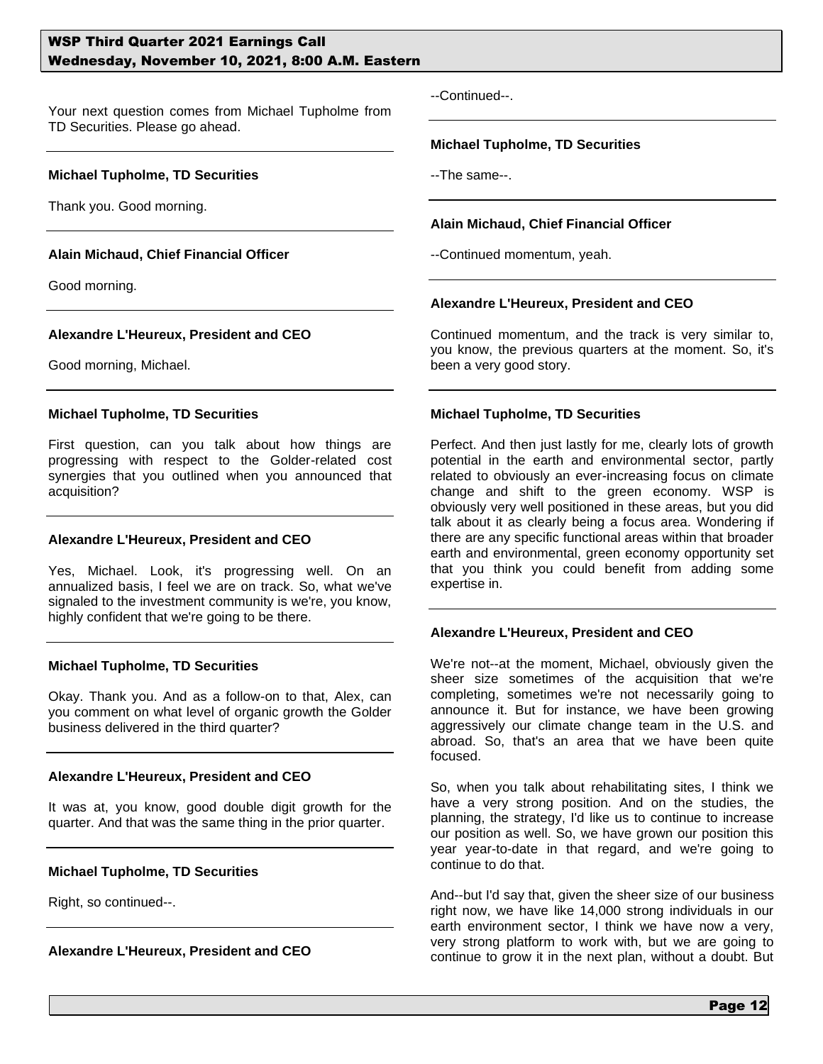Your next question comes from Michael Tupholme from TD Securities. Please go ahead.

#### **Michael Tupholme, TD Securities**

Thank you. Good morning.

#### **Alain Michaud, Chief Financial Officer**

Good morning.

#### **Alexandre L'Heureux, President and CEO**

Good morning, Michael.

#### **Michael Tupholme, TD Securities**

First question, can you talk about how things are progressing with respect to the Golder-related cost synergies that you outlined when you announced that acquisition?

#### **Alexandre L'Heureux, President and CEO**

Yes, Michael. Look, it's progressing well. On an annualized basis, I feel we are on track. So, what we've signaled to the investment community is we're, you know, highly confident that we're going to be there.

#### **Michael Tupholme, TD Securities**

Okay. Thank you. And as a follow-on to that, Alex, can you comment on what level of organic growth the Golder business delivered in the third quarter?

#### **Alexandre L'Heureux, President and CEO**

It was at, you know, good double digit growth for the quarter. And that was the same thing in the prior quarter.

#### **Michael Tupholme, TD Securities**

Right, so continued--.

#### **Alexandre L'Heureux, President and CEO**

--Continued--.

#### **Michael Tupholme, TD Securities**

--The same--.

#### **Alain Michaud, Chief Financial Officer**

--Continued momentum, yeah.

#### **Alexandre L'Heureux, President and CEO**

Continued momentum, and the track is very similar to, you know, the previous quarters at the moment. So, it's been a very good story.

#### **Michael Tupholme, TD Securities**

Perfect. And then just lastly for me, clearly lots of growth potential in the earth and environmental sector, partly related to obviously an ever-increasing focus on climate change and shift to the green economy. WSP is obviously very well positioned in these areas, but you did talk about it as clearly being a focus area. Wondering if there are any specific functional areas within that broader earth and environmental, green economy opportunity set that you think you could benefit from adding some expertise in.

#### **Alexandre L'Heureux, President and CEO**

We're not--at the moment, Michael, obviously given the sheer size sometimes of the acquisition that we're completing, sometimes we're not necessarily going to announce it. But for instance, we have been growing aggressively our climate change team in the U.S. and abroad. So, that's an area that we have been quite focused.

So, when you talk about rehabilitating sites, I think we have a very strong position. And on the studies, the planning, the strategy, I'd like us to continue to increase our position as well. So, we have grown our position this year year-to-date in that regard, and we're going to continue to do that.

And--but I'd say that, given the sheer size of our business right now, we have like 14,000 strong individuals in our earth environment sector, I think we have now a very, very strong platform to work with, but we are going to continue to grow it in the next plan, without a doubt. But